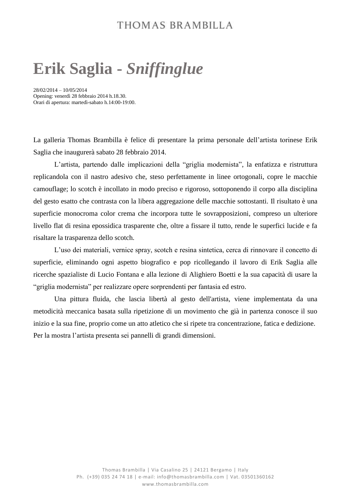### THOMAS BRAMBILLA

# **Erik Saglia -** *Sniffinglue*

28/02/2014 – 10/05/2014 Opening: venerdì 28 febbraio 2014 h.18.30. Orari di apertura: martedì-sabato h.14:00-19:00.

La galleria Thomas Brambilla è felice di presentare la prima personale dell'artista torinese Erik Saglia che inaugurerà sabato 28 febbraio 2014.

L'artista, partendo dalle implicazioni della "griglia modernista", la enfatizza e ristruttura replicandola con il nastro adesivo che, steso perfettamente in linee ortogonali, copre le macchie camouflage; lo scotch è incollato in modo preciso e rigoroso, sottoponendo il corpo alla disciplina del gesto esatto che contrasta con la libera aggregazione delle macchie sottostanti. Il risultato è una superficie monocroma color crema che incorpora tutte le sovrapposizioni, compreso un ulteriore livello flat di resina epossidica trasparente che, oltre a fissare il tutto, rende le superfici lucide e fa risaltare la trasparenza dello scotch.

L'uso dei materiali, vernice spray, scotch e resina sintetica, cerca di rinnovare il concetto di superficie, eliminando ogni aspetto biografico e pop ricollegando il lavoro di Erik Saglia alle ricerche spazialiste di Lucio Fontana e alla lezione di Alighiero Boetti e la sua capacità di usare la "griglia modernista" per realizzare opere sorprendenti per fantasia ed estro.

Una pittura fluida, che lascia libertà al gesto dell'artista, viene implementata da una metodicità meccanica basata sulla ripetizione di un movimento che già in partenza conosce il suo inizio e la sua fine, proprio come un atto atletico che si ripete tra concentrazione, fatica e dedizione. Per la mostra l'artista presenta sei pannelli di grandi dimensioni.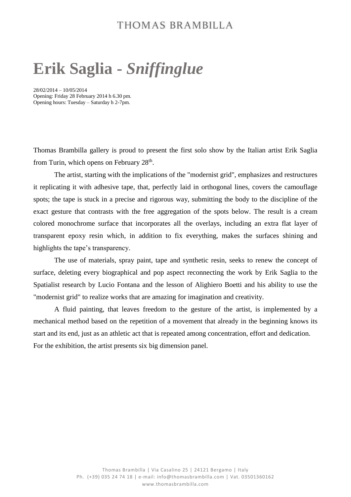### THOMAS BRAMBILLA

# **Erik Saglia -** *Sniffinglue*

28/02/2014 – 10/05/2014 Opening: Friday 28 February 2014 h 6.30 pm. Opening hours: Tuesday – Saturday h 2-7pm.

Thomas Brambilla gallery is proud to present the first solo show by the Italian artist Erik Saglia from Turin, which opens on February  $28<sup>th</sup>$ .

The artist, starting with the implications of the "modernist grid", emphasizes and restructures it replicating it with adhesive tape, that, perfectly laid in orthogonal lines, covers the camouflage spots; the tape is stuck in a precise and rigorous way, submitting the body to the discipline of the exact gesture that contrasts with the free aggregation of the spots below. The result is a cream colored monochrome surface that incorporates all the overlays, including an extra flat layer of transparent epoxy resin which, in addition to fix everything, makes the surfaces shining and highlights the tape's transparency.

The use of materials, spray paint, tape and synthetic resin, seeks to renew the concept of surface, deleting every biographical and pop aspect reconnecting the work by Erik Saglia to the Spatialist research by Lucio Fontana and the lesson of Alighiero Boetti and his ability to use the "modernist grid" to realize works that are amazing for imagination and creativity.

A fluid painting, that leaves freedom to the gesture of the artist, is implemented by a mechanical method based on the repetition of a movement that already in the beginning knows its start and its end, just as an athletic act that is repeated among concentration, effort and dedication. For the exhibition, the artist presents six big dimension panel.